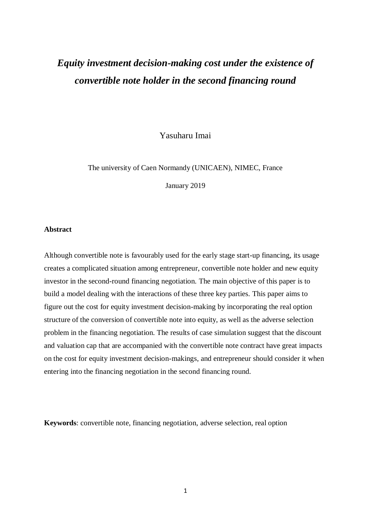# *Equity investment decision-making cost under the existence of convertible note holder in the second financing round*

Yasuharu Imai

The university of Caen Normandy (UNICAEN), NIMEC, France

January 2019

#### **Abstract**

Although convertible note is favourably used for the early stage start-up financing, its usage creates a complicated situation among entrepreneur, convertible note holder and new equity investor in the second-round financing negotiation. The main objective of this paper is to build a model dealing with the interactions of these three key parties. This paper aims to figure out the cost for equity investment decision-making by incorporating the real option structure of the conversion of convertible note into equity, as well as the adverse selection problem in the financing negotiation. The results of case simulation suggest that the discount and valuation cap that are accompanied with the convertible note contract have great impacts on the cost for equity investment decision-makings, and entrepreneur should consider it when entering into the financing negotiation in the second financing round.

**Keywords**: convertible note, financing negotiation, adverse selection, real option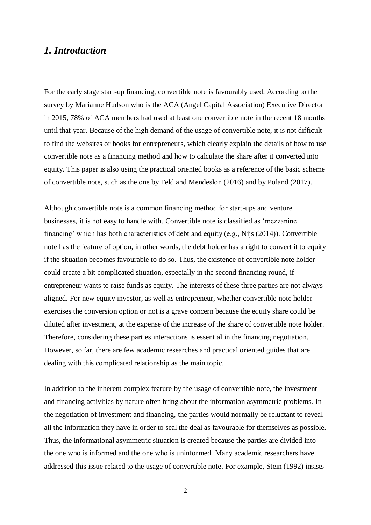### *1. Introduction*

For the early stage start-up financing, convertible note is favourably used. According to the survey by Marianne Hudson who is the ACA (Angel Capital Association) Executive Director in 2015, 78% of ACA members had used at least one convertible note in the recent 18 months until that year. Because of the high demand of the usage of convertible note, it is not difficult to find the websites or books for entrepreneurs, which clearly explain the details of how to use convertible note as a financing method and how to calculate the share after it converted into equity. This paper is also using the practical oriented books as a reference of the basic scheme of convertible note, such as the one by Feld and Mendeslon (2016) and by Poland (2017).

Although convertible note is a common financing method for start-ups and venture businesses, it is not easy to handle with. Convertible note is classified as 'mezzanine financing' which has both characteristics of debt and equity (e.g., Nijs (2014)). Convertible note has the feature of option, in other words, the debt holder has a right to convert it to equity if the situation becomes favourable to do so. Thus, the existence of convertible note holder could create a bit complicated situation, especially in the second financing round, if entrepreneur wants to raise funds as equity. The interests of these three parties are not always aligned. For new equity investor, as well as entrepreneur, whether convertible note holder exercises the conversion option or not is a grave concern because the equity share could be diluted after investment, at the expense of the increase of the share of convertible note holder. Therefore, considering these parties interactions is essential in the financing negotiation. However, so far, there are few academic researches and practical oriented guides that are dealing with this complicated relationship as the main topic.

In addition to the inherent complex feature by the usage of convertible note, the investment and financing activities by nature often bring about the information asymmetric problems. In the negotiation of investment and financing, the parties would normally be reluctant to reveal all the information they have in order to seal the deal as favourable for themselves as possible. Thus, the informational asymmetric situation is created because the parties are divided into the one who is informed and the one who is uninformed. Many academic researchers have addressed this issue related to the usage of convertible note. For example, Stein (1992) insists

2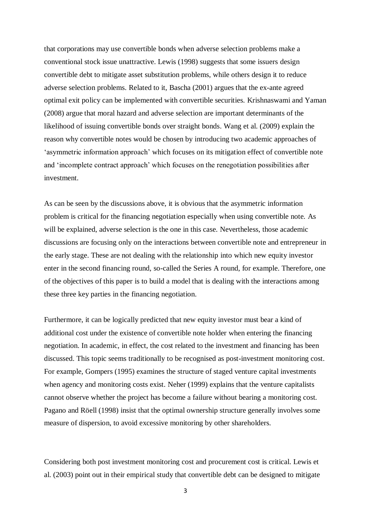that corporations may use convertible bonds when adverse selection problems make a conventional stock issue unattractive. Lewis (1998) suggests that some issuers design convertible debt to mitigate asset substitution problems, while others design it to reduce adverse selection problems. Related to it, Bascha (2001) argues that the ex-ante agreed optimal exit policy can be implemented with convertible securities. Krishnaswami and Yaman (2008) argue that moral hazard and adverse selection are important determinants of the likelihood of issuing convertible bonds over straight bonds. Wang et al. (2009) explain the reason why convertible notes would be chosen by introducing two academic approaches of 'asymmetric information approach' which focuses on its mitigation effect of convertible note and 'incomplete contract approach' which focuses on the renegotiation possibilities after investment.

As can be seen by the discussions above, it is obvious that the asymmetric information problem is critical for the financing negotiation especially when using convertible note. As will be explained, adverse selection is the one in this case. Nevertheless, those academic discussions are focusing only on the interactions between convertible note and entrepreneur in the early stage. These are not dealing with the relationship into which new equity investor enter in the second financing round, so-called the Series A round, for example. Therefore, one of the objectives of this paper is to build a model that is dealing with the interactions among these three key parties in the financing negotiation.

Furthermore, it can be logically predicted that new equity investor must bear a kind of additional cost under the existence of convertible note holder when entering the financing negotiation. In academic, in effect, the cost related to the investment and financing has been discussed. This topic seems traditionally to be recognised as post-investment monitoring cost. For example, Gompers (1995) examines the structure of staged venture capital investments when agency and monitoring costs exist. Neher (1999) explains that the venture capitalists cannot observe whether the project has become a failure without bearing a monitoring cost. Pagano and Röell (1998) insist that the optimal ownership structure generally involves some measure of dispersion, to avoid excessive monitoring by other shareholders.

Considering both post investment monitoring cost and procurement cost is critical. Lewis et al. (2003) point out in their empirical study that convertible debt can be designed to mitigate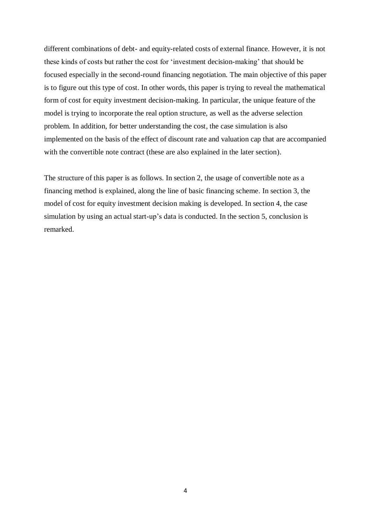different combinations of debt- and equity-related costs of external finance. However, it is not these kinds of costs but rather the cost for 'investment decision-making' that should be focused especially in the second-round financing negotiation. The main objective of this paper is to figure out this type of cost. In other words, this paper is trying to reveal the mathematical form of cost for equity investment decision-making. In particular, the unique feature of the model is trying to incorporate the real option structure, as well as the adverse selection problem. In addition, for better understanding the cost, the case simulation is also implemented on the basis of the effect of discount rate and valuation cap that are accompanied with the convertible note contract (these are also explained in the later section).

The structure of this paper is as follows. In section 2, the usage of convertible note as a financing method is explained, along the line of basic financing scheme. In section 3, the model of cost for equity investment decision making is developed. In section 4, the case simulation by using an actual start-up's data is conducted. In the section 5, conclusion is remarked.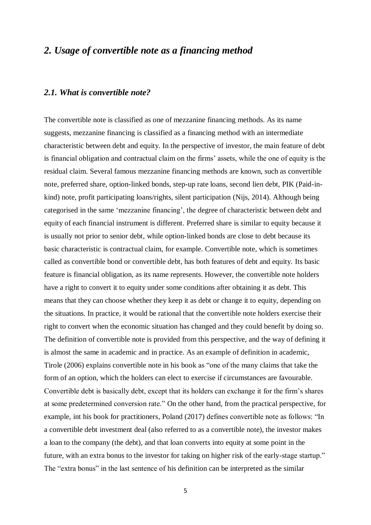## *2. Usage of convertible note as a financing method*

#### *2.1. What is convertible note?*

The convertible note is classified as one of mezzanine financing methods. As its name suggests, mezzanine financing is classified as a financing method with an intermediate characteristic between debt and equity. In the perspective of investor, the main feature of debt is financial obligation and contractual claim on the firms' assets, while the one of equity is the residual claim. Several famous mezzanine financing methods are known, such as convertible note, preferred share, option-linked bonds, step-up rate loans, second lien debt, PIK (Paid-inkind) note, profit participating loans/rights, silent participation (Nijs, 2014). Although being categorised in the same 'mezzanine financing', the degree of characteristic between debt and equity of each financial instrument is different. Preferred share is similar to equity because it is usually not prior to senior debt, while option-linked bonds are close to debt because its basic characteristic is contractual claim, for example. Convertible note, which is sometimes called as convertible bond or convertible debt, has both features of debt and equity. Its basic feature is financial obligation, as its name represents. However, the convertible note holders have a right to convert it to equity under some conditions after obtaining it as debt. This means that they can choose whether they keep it as debt or change it to equity, depending on the situations. In practice, it would be rational that the convertible note holders exercise their right to convert when the economic situation has changed and they could benefit by doing so. The definition of convertible note is provided from this perspective, and the way of defining it is almost the same in academic and in practice. As an example of definition in academic, Tirole (2006) explains convertible note in his book as "one of the many claims that take the form of an option, which the holders can elect to exercise if circumstances are favourable. Convertible debt is basically debt, except that its holders can exchange it for the firm's shares at some predetermined conversion rate." On the other hand, from the practical perspective, for example, int his book for practitioners, Poland (2017) defines convertible note as follows: "In a convertible debt investment deal (also referred to as a convertible note), the investor makes a loan to the company (the debt), and that loan converts into equity at some point in the future, with an extra bonus to the investor for taking on higher risk of the early-stage startup." The "extra bonus" in the last sentence of his definition can be interpreted as the similar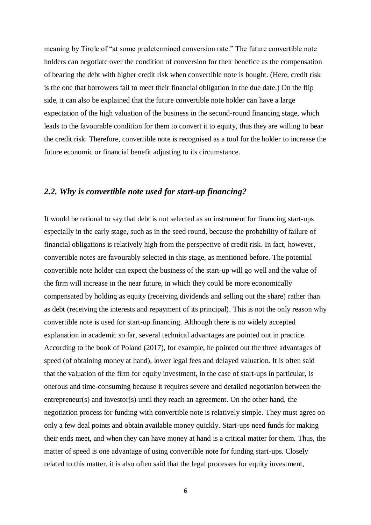meaning by Tirole of "at some predetermined conversion rate." The future convertible note holders can negotiate over the condition of conversion for their benefice as the compensation of bearing the debt with higher credit risk when convertible note is bought. (Here, credit risk is the one that borrowers fail to meet their financial obligation in the due date.) On the flip side, it can also be explained that the future convertible note holder can have a large expectation of the high valuation of the business in the second-round financing stage, which leads to the favourable condition for them to convert it to equity, thus they are willing to bear the credit risk. Therefore, convertible note is recognised as a tool for the holder to increase the future economic or financial benefit adjusting to its circumstance.

#### *2.2. Why is convertible note used for start-up financing?*

It would be rational to say that debt is not selected as an instrument for financing start-ups especially in the early stage, such as in the seed round, because the probability of failure of financial obligations is relatively high from the perspective of credit risk. In fact, however, convertible notes are favourably selected in this stage, as mentioned before. The potential convertible note holder can expect the business of the start-up will go well and the value of the firm will increase in the near future, in which they could be more economically compensated by holding as equity (receiving dividends and selling out the share) rather than as debt (receiving the interests and repayment of its principal). This is not the only reason why convertible note is used for start-up financing. Although there is no widely accepted explanation in academic so far, several technical advantages are pointed out in practice. According to the book of Poland (2017), for example, he pointed out the three advantages of speed (of obtaining money at hand), lower legal fees and delayed valuation. It is often said that the valuation of the firm for equity investment, in the case of start-ups in particular, is onerous and time-consuming because it requires severe and detailed negotiation between the entrepreneur(s) and investor(s) until they reach an agreement. On the other hand, the negotiation process for funding with convertible note is relatively simple. They must agree on only a few deal points and obtain available money quickly. Start-ups need funds for making their ends meet, and when they can have money at hand is a critical matter for them. Thus, the matter of speed is one advantage of using convertible note for funding start-ups. Closely related to this matter, it is also often said that the legal processes for equity investment,

6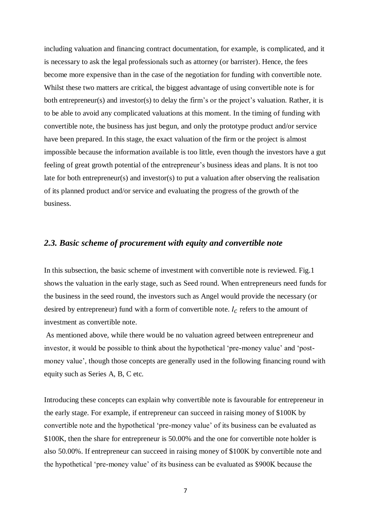including valuation and financing contract documentation, for example, is complicated, and it is necessary to ask the legal professionals such as attorney (or barrister). Hence, the fees become more expensive than in the case of the negotiation for funding with convertible note. Whilst these two matters are critical, the biggest advantage of using convertible note is for both entrepreneur(s) and investor(s) to delay the firm's or the project's valuation. Rather, it is to be able to avoid any complicated valuations at this moment. In the timing of funding with convertible note, the business has just begun, and only the prototype product and/or service have been prepared. In this stage, the exact valuation of the firm or the project is almost impossible because the information available is too little, even though the investors have a gut feeling of great growth potential of the entrepreneur's business ideas and plans. It is not too late for both entrepreneur(s) and investor(s) to put a valuation after observing the realisation of its planned product and/or service and evaluating the progress of the growth of the business.

#### *2.3. Basic scheme of procurement with equity and convertible note*

In this subsection, the basic scheme of investment with convertible note is reviewed. Fig.1 shows the valuation in the early stage, such as Seed round. When entrepreneurs need funds for the business in the seed round, the investors such as Angel would provide the necessary (or desired by entrepreneur) fund with a form of convertible note.  $I_c$  refers to the amount of investment as convertible note.

As mentioned above, while there would be no valuation agreed between entrepreneur and investor, it would be possible to think about the hypothetical 'pre-money value' and 'postmoney value', though those concepts are generally used in the following financing round with equity such as Series A, B, C etc.

Introducing these concepts can explain why convertible note is favourable for entrepreneur in the early stage. For example, if entrepreneur can succeed in raising money of \$100K by convertible note and the hypothetical 'pre-money value' of its business can be evaluated as \$100K, then the share for entrepreneur is 50.00% and the one for convertible note holder is also 50.00%. If entrepreneur can succeed in raising money of \$100K by convertible note and the hypothetical 'pre-money value' of its business can be evaluated as \$900K because the

7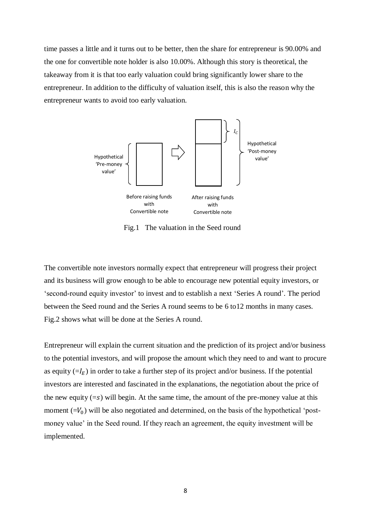time passes a little and it turns out to be better, then the share for entrepreneur is 90.00% and the one for convertible note holder is also 10.00%. Although this story is theoretical, the takeaway from it is that too early valuation could bring significantly lower share to the entrepreneur. In addition to the difficulty of valuation itself, this is also the reason why the entrepreneur wants to avoid too early valuation.



Fig.1 The valuation in the Seed round

The convertible note investors normally expect that entrepreneur will progress their project and its business will grow enough to be able to encourage new potential equity investors, or 'second-round equity investor' to invest and to establish a next 'Series A round'. The period between the Seed round and the Series A round seems to be 6 to12 months in many cases. Fig.2 shows what will be done at the Series A round.

Entrepreneur will explain the current situation and the prediction of its project and/or business to the potential investors, and will propose the amount which they need to and want to procure as equity  $(=I_F)$  in order to take a further step of its project and/or business. If the potential investors are interested and fascinated in the explanations, the negotiation about the price of the new equity  $(=s)$  will begin. At the same time, the amount of the pre-money value at this moment  $(=V_0)$  will be also negotiated and determined, on the basis of the hypothetical 'postmoney value' in the Seed round. If they reach an agreement, the equity investment will be implemented.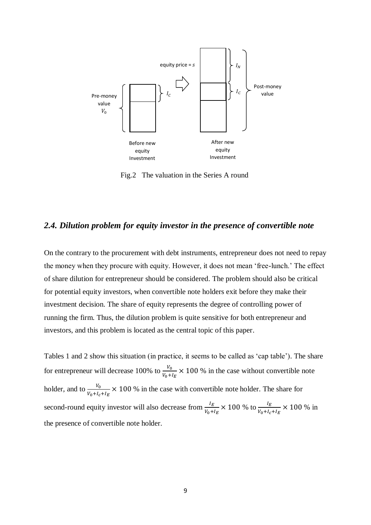

Fig.2 The valuation in the Series A round

#### *2.4. Dilution problem for equity investor in the presence of convertible note*

On the contrary to the procurement with debt instruments, entrepreneur does not need to repay the money when they procure with equity. However, it does not mean 'free-lunch.' The effect of share dilution for entrepreneur should be considered. The problem should also be critical for potential equity investors, when convertible note holders exit before they make their investment decision. The share of equity represents the degree of controlling power of running the firm. Thus, the dilution problem is quite sensitive for both entrepreneur and investors, and this problem is located as the central topic of this paper.

Tables 1 and 2 show this situation (in practice, it seems to be called as 'cap table'). The share for entrepreneur will decrease 100% to  $\frac{V_0}{V_0 + I_E} \times 100$  % in the case without convertible note holder, and to  $\frac{V_0}{V_0 + I_c + I_E} \times 100\%$  in the case with convertible note holder. The share for second-round equity investor will also decrease from  $\frac{l_E}{v_0 + l_E} \times 100$  % to  $\frac{l_E}{v_0 + l_C + l_E} \times 100$  % in the presence of convertible note holder.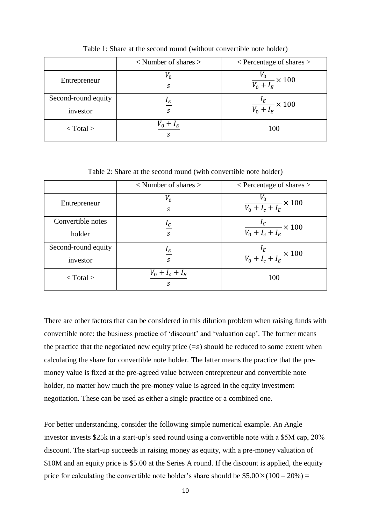|                     | $\langle$ Number of shares $\rangle$ | $\leq$ Percentage of shares $>$ |
|---------------------|--------------------------------------|---------------------------------|
| Entrepreneur        | S                                    | $\frac{V_0}{V_0+I_E}\times 100$ |
| Second-round equity | $I_E$                                | $\frac{I_E}{I}$ × 100           |
| investor            | S                                    | $\overline{V_0+I_E}$            |
| $<$ Total $>$       | $+$ $I_F$<br>S                       | 100                             |

Table 1: Share at the second round (without convertible note holder)

Table 2: Share at the second round (with convertible note holder)

|                     | $\langle$ Number of shares $>$ | $\leq$ Percentage of shares $>$          |
|---------------------|--------------------------------|------------------------------------------|
| Entrepreneur        | $V_{0}$<br>S                   | $\frac{V_0}{V_0 + I_c + I_E} \times 100$ |
| Convertible notes   |                                |                                          |
| holder              | S                              | $\frac{I_C}{V_0 + I_c + I_E} \times 100$ |
| Second-round equity | $I_E$                          | $\frac{I_E}{V_0 + I_c + I_E} \times 100$ |
| investor            | S                              |                                          |
| $<$ Total $>$       | $V_0 + I_c + I_E$<br>S         | 100                                      |

There are other factors that can be considered in this dilution problem when raising funds with convertible note: the business practice of 'discount' and 'valuation cap'. The former means the practice that the negotiated new equity price  $(=s)$  should be reduced to some extent when calculating the share for convertible note holder. The latter means the practice that the premoney value is fixed at the pre-agreed value between entrepreneur and convertible note holder, no matter how much the pre-money value is agreed in the equity investment negotiation. These can be used as either a single practice or a combined one.

For better understanding, consider the following simple numerical example. An Angle investor invests \$25k in a start-up's seed round using a convertible note with a \$5M cap, 20% discount. The start-up succeeds in raising money as equity, with a pre-money valuation of \$10M and an equity price is \$5.00 at the Series A round. If the discount is applied, the equity price for calculating the convertible note holder's share should be  $$5.00 \times (100 - 20\%) =$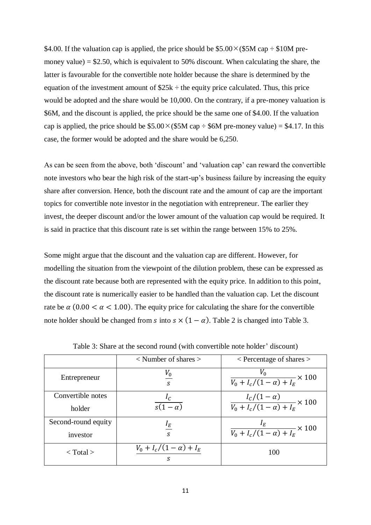\$4.00. If the valuation cap is applied, the price should be \$5.00 $\times$ (\$5M cap  $\div$  \$10M premoney value)  $= $2.50$ , which is equivalent to 50% discount. When calculating the share, the latter is favourable for the convertible note holder because the share is determined by the equation of the investment amount of  $$25k \div the$  equity price calculated. Thus, this price would be adopted and the share would be 10,000. On the contrary, if a pre-money valuation is \$6M, and the discount is applied, the price should be the same one of \$4.00. If the valuation cap is applied, the price should be  $$5.00\times$($5M cap \div $6M$  pre-money value) = \$4.17. In this case, the former would be adopted and the share would be 6,250.

As can be seen from the above, both 'discount' and 'valuation cap' can reward the convertible note investors who bear the high risk of the start-up's business failure by increasing the equity share after conversion. Hence, both the discount rate and the amount of cap are the important topics for convertible note investor in the negotiation with entrepreneur. The earlier they invest, the deeper discount and/or the lower amount of the valuation cap would be required. It is said in practice that this discount rate is set within the range between 15% to 25%.

Some might argue that the discount and the valuation cap are different. However, for modelling the situation from the viewpoint of the dilution problem, these can be expressed as the discount rate because both are represented with the equity price. In addition to this point, the discount rate is numerically easier to be handled than the valuation cap. Let the discount rate be  $\alpha$  (0.00  $< \alpha < 1.00$ ). The equity price for calculating the share for the convertible note holder should be changed from *s* into  $s \times (1 - \alpha)$ . Table 2 is changed into Table 3.

|                     | $<$ Number of shares $>$            | $\leq$ Percentage of shares $>$                           |
|---------------------|-------------------------------------|-----------------------------------------------------------|
| Entrepreneur        | $V_0$<br>$\mathcal{S}$              | $\frac{V_0}{V_0 + I_c/(1-\alpha) + I_E} \times 100$       |
| Convertible notes   | $I_C$                               | $\frac{I_c/(1-\alpha)}{V_0+I_c/(1-\alpha)+I_E}\times 100$ |
| holder              | $\sqrt{s(1-\alpha)}$                |                                                           |
| Second-round equity | $I_E$                               |                                                           |
| investor            | $\mathcal{S}$                       | $\frac{I_E}{V_0 + I_c/(1 - \alpha) + I_E} \times 100$     |
| $\langle$ Total $>$ | $V_0 + I_c/(1 - \alpha) + I_F$<br>S | 100                                                       |

Table 3: Share at the second round (with convertible note holder' discount)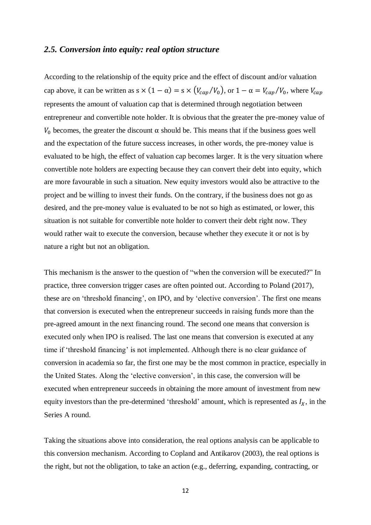#### *2.5. Conversion into equity: real option structure*

According to the relationship of the equity price and the effect of discount and/or valuation cap above, it can be written as  $s \times (1 - \alpha) = s \times (V_{cap}/V_0)$ , or  $1 - \alpha = V_{cap}/V_0$ , where  $V_{cap}$ represents the amount of valuation cap that is determined through negotiation between entrepreneur and convertible note holder. It is obvious that the greater the pre-money value of  $V_0$  becomes, the greater the discount  $\alpha$  should be. This means that if the business goes well and the expectation of the future success increases, in other words, the pre-money value is evaluated to be high, the effect of valuation cap becomes larger. It is the very situation where convertible note holders are expecting because they can convert their debt into equity, which are more favourable in such a situation. New equity investors would also be attractive to the project and be willing to invest their funds. On the contrary, if the business does not go as desired, and the pre-money value is evaluated to be not so high as estimated, or lower, this situation is not suitable for convertible note holder to convert their debt right now. They would rather wait to execute the conversion, because whether they execute it or not is by nature a right but not an obligation.

This mechanism is the answer to the question of "when the conversion will be executed?" In practice, three conversion trigger cases are often pointed out. According to Poland (2017), these are on 'threshold financing', on IPO, and by 'elective conversion'. The first one means that conversion is executed when the entrepreneur succeeds in raising funds more than the pre-agreed amount in the next financing round. The second one means that conversion is executed only when IPO is realised. The last one means that conversion is executed at any time if 'threshold financing' is not implemented. Although there is no clear guidance of conversion in academia so far, the first one may be the most common in practice, especially in the United States. Along the 'elective conversion', in this case, the conversion will be executed when entrepreneur succeeds in obtaining the more amount of investment from new equity investors than the pre-determined 'threshold' amount, which is represented as  $I_x$ , in the Series A round.

Taking the situations above into consideration, the real options analysis can be applicable to this conversion mechanism. According to Copland and Antikarov (2003), the real options is the right, but not the obligation, to take an action (e.g., deferring, expanding, contracting, or

12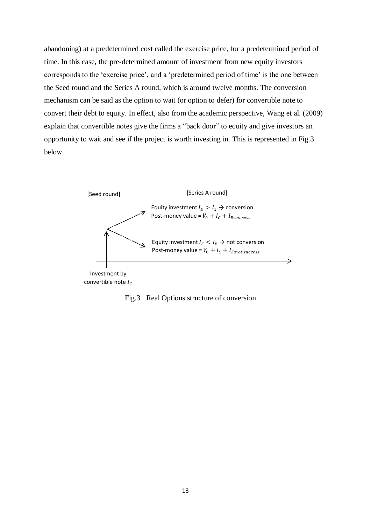abandoning) at a predetermined cost called the exercise price, for a predetermined period of time. In this case, the pre-determined amount of investment from new equity investors corresponds to the 'exercise price', and a 'predetermined period of time' is the one between the Seed round and the Series A round, which is around twelve months. The conversion mechanism can be said as the option to wait (or option to defer) for convertible note to convert their debt to equity. In effect, also from the academic perspective, Wang et al. (2009) explain that convertible notes give the firms a "back door" to equity and give investors an opportunity to wait and see if the project is worth investing in. This is represented in Fig.3 below.



#### Fig.3 Real Options structure of conversion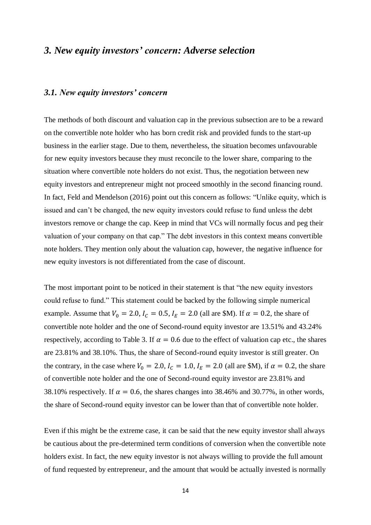## *3. New equity investors' concern: Adverse selection*

#### *3.1. New equity investors' concern*

The methods of both discount and valuation cap in the previous subsection are to be a reward on the convertible note holder who has born credit risk and provided funds to the start-up business in the earlier stage. Due to them, nevertheless, the situation becomes unfavourable for new equity investors because they must reconcile to the lower share, comparing to the situation where convertible note holders do not exist. Thus, the negotiation between new equity investors and entrepreneur might not proceed smoothly in the second financing round. In fact, Feld and Mendelson (2016) point out this concern as follows: "Unlike equity, which is issued and can't be changed, the new equity investors could refuse to fund unless the debt investors remove or change the cap. Keep in mind that VCs will normally focus and peg their valuation of your company on that cap." The debt investors in this context means convertible note holders. They mention only about the valuation cap, however, the negative influence for new equity investors is not differentiated from the case of discount.

The most important point to be noticed in their statement is that "the new equity investors could refuse to fund." This statement could be backed by the following simple numerical example. Assume that  $V_0 = 2.0$ ,  $I_c = 0.5$ ,  $I_E = 2.0$  (all are \$M). If  $\alpha = 0.2$ , the share of convertible note holder and the one of Second-round equity investor are 13.51% and 43.24% respectively, according to Table 3. If  $\alpha = 0.6$  due to the effect of valuation cap etc., the shares are 23.81% and 38.10%. Thus, the share of Second-round equity investor is still greater. On the contrary, in the case where  $V_0 = 2.0$ ,  $I_c = 1.0$ ,  $I_E = 2.0$  (all are \$M), if  $\alpha = 0.2$ , the share of convertible note holder and the one of Second-round equity investor are 23.81% and 38.10% respectively. If  $\alpha = 0.6$ , the shares changes into 38.46% and 30.77%, in other words, the share of Second-round equity investor can be lower than that of convertible note holder.

Even if this might be the extreme case, it can be said that the new equity investor shall always be cautious about the pre-determined term conditions of conversion when the convertible note holders exist. In fact, the new equity investor is not always willing to provide the full amount of fund requested by entrepreneur, and the amount that would be actually invested is normally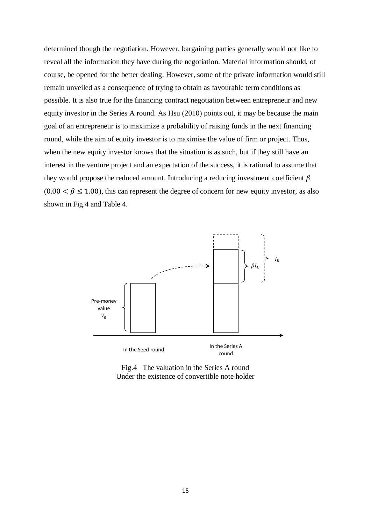determined though the negotiation. However, bargaining parties generally would not like to reveal all the information they have during the negotiation. Material information should, of course, be opened for the better dealing. However, some of the private information would still remain unveiled as a consequence of trying to obtain as favourable term conditions as possible. It is also true for the financing contract negotiation between entrepreneur and new equity investor in the Series A round. As Hsu (2010) points out, it may be because the main goal of an entrepreneur is to maximize a probability of raising funds in the next financing round, while the aim of equity investor is to maximise the value of firm or project. Thus, when the new equity investor knows that the situation is as such, but if they still have an interest in the venture project and an expectation of the success, it is rational to assume that they would propose the reduced amount. Introducing a reducing investment coefficient  $\beta$  $(0.00 < \beta \le 1.00)$ , this can represent the degree of concern for new equity investor, as also shown in Fig.4 and Table 4.



Fig.4 The valuation in the Series A round Under the existence of convertible note holder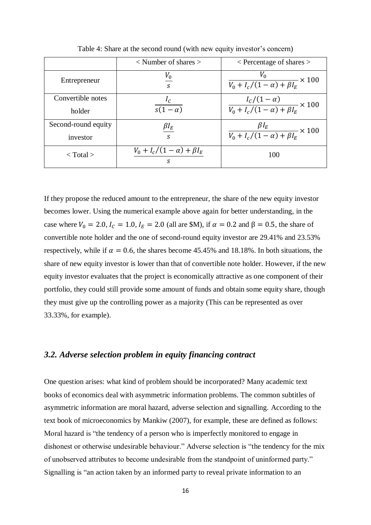|                     | $\langle$ Number of shares $>$            | $\leq$ Percentage of shares $>$                                 |
|---------------------|-------------------------------------------|-----------------------------------------------------------------|
| Entrepreneur        | $V_0$<br>$\overline{S}$                   | $\frac{V_0}{V_0 + I_c/(1-\alpha) + \beta I_E} \times 100$       |
| Convertible notes   |                                           | $\frac{I_c/(1-\alpha)}{V_0+I_c/(1-\alpha)+\beta I_E}\times 100$ |
| holder              | $s(1-\alpha)$                             |                                                                 |
| Second-round equity | $\beta I_{E}$                             | $\frac{\beta I_E}{V_0+I_c/(1-\alpha)+\beta I_E}\times 100$      |
| investor            | S                                         |                                                                 |
| $\langle$ Total $>$ | $V_0 + I_c/(1 - \alpha) + \beta I_E$<br>S | 100                                                             |

Table 4: Share at the second round (with new equity investor's concern)

If they propose the reduced amount to the entrepreneur, the share of the new equity investor becomes lower. Using the numerical example above again for better understanding, in the case where  $V_0 = 2.0$ ,  $I_c = 1.0$ ,  $I_E = 2.0$  (all are \$M), if  $\alpha = 0.2$  and  $\beta = 0.5$ , the share of convertible note holder and the one of second-round equity investor are 29.41% and 23.53% respectively, while if  $\alpha = 0.6$ , the shares become 45.45% and 18.18%. In both situations, the share of new equity investor is lower than that of convertible note holder. However, if the new equity investor evaluates that the project is economically attractive as one component of their portfolio, they could still provide some amount of funds and obtain some equity share, though they must give up the controlling power as a majority (This can be represented as over 33.33%, for example).

#### *3.2. Adverse selection problem in equity financing contract*

One question arises: what kind of problem should be incorporated? Many academic text books of economics deal with asymmetric information problems. The common subtitles of asymmetric information are moral hazard, adverse selection and signalling. According to the text book of microeconomics by Mankiw (2007), for example, these are defined as follows: Moral hazard is "the tendency of a person who is imperfectly monitored to engage in dishonest or otherwise undesirable behaviour." Adverse selection is "the tendency for the mix of unobserved attributes to become undesirable from the standpoint of uninformed party." Signalling is "an action taken by an informed party to reveal private information to an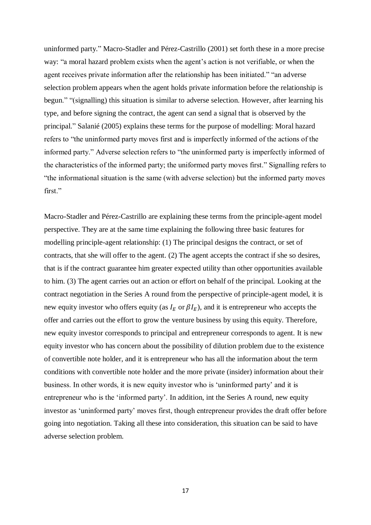uninformed party." Macro-Stadler and Pérez-Castrillo (2001) set forth these in a more precise way: "a moral hazard problem exists when the agent's action is not verifiable, or when the agent receives private information after the relationship has been initiated." "an adverse selection problem appears when the agent holds private information before the relationship is begun." "(signalling) this situation is similar to adverse selection. However, after learning his type, and before signing the contract, the agent can send a signal that is observed by the principal." Salanié (2005) explains these terms for the purpose of modelling: Moral hazard refers to "the uninformed party moves first and is imperfectly informed of the actions of the informed party." Adverse selection refers to "the uninformed party is imperfectly informed of the characteristics of the informed party; the uniformed party moves first." Signalling refers to "the informational situation is the same (with adverse selection) but the informed party moves first<sup>"</sup>

Macro-Stadler and Pérez-Castrillo are explaining these terms from the principle-agent model perspective. They are at the same time explaining the following three basic features for modelling principle-agent relationship: (1) The principal designs the contract, or set of contracts, that she will offer to the agent. (2) The agent accepts the contract if she so desires, that is if the contract guarantee him greater expected utility than other opportunities available to him. (3) The agent carries out an action or effort on behalf of the principal. Looking at the contract negotiation in the Series A round from the perspective of principle-agent model, it is new equity investor who offers equity (as  $I<sub>E</sub>$  or  $\beta I<sub>E</sub>$ ), and it is entrepreneur who accepts the offer and carries out the effort to grow the venture business by using this equity. Therefore, new equity investor corresponds to principal and entrepreneur corresponds to agent. It is new equity investor who has concern about the possibility of dilution problem due to the existence of convertible note holder, and it is entrepreneur who has all the information about the term conditions with convertible note holder and the more private (insider) information about their business. In other words, it is new equity investor who is 'uninformed party' and it is entrepreneur who is the 'informed party'. In addition, int the Series A round, new equity investor as 'uninformed party' moves first, though entrepreneur provides the draft offer before going into negotiation. Taking all these into consideration, this situation can be said to have adverse selection problem.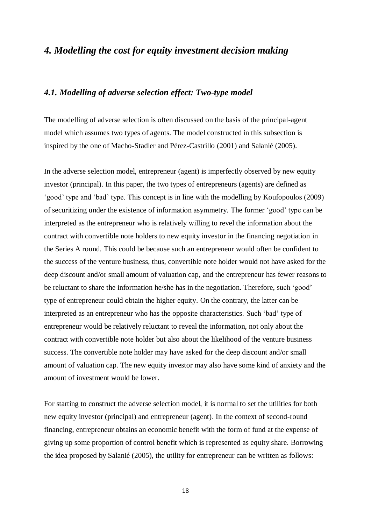## *4. Modelling the cost for equity investment decision making*

#### *4.1. Modelling of adverse selection effect: Two-type model*

The modelling of adverse selection is often discussed on the basis of the principal-agent model which assumes two types of agents. The model constructed in this subsection is inspired by the one of Macho-Stadler and Pérez-Castrillo (2001) and Salanié (2005).

In the adverse selection model, entrepreneur (agent) is imperfectly observed by new equity investor (principal). In this paper, the two types of entrepreneurs (agents) are defined as 'good' type and 'bad' type. This concept is in line with the modelling by Koufopoulos (2009) of securitizing under the existence of information asymmetry. The former 'good' type can be interpreted as the entrepreneur who is relatively willing to revel the information about the contract with convertible note holders to new equity investor in the financing negotiation in the Series A round. This could be because such an entrepreneur would often be confident to the success of the venture business, thus, convertible note holder would not have asked for the deep discount and/or small amount of valuation cap, and the entrepreneur has fewer reasons to be reluctant to share the information he/she has in the negotiation. Therefore, such 'good' type of entrepreneur could obtain the higher equity. On the contrary, the latter can be interpreted as an entrepreneur who has the opposite characteristics. Such 'bad' type of entrepreneur would be relatively reluctant to reveal the information, not only about the contract with convertible note holder but also about the likelihood of the venture business success. The convertible note holder may have asked for the deep discount and/or small amount of valuation cap. The new equity investor may also have some kind of anxiety and the amount of investment would be lower.

For starting to construct the adverse selection model, it is normal to set the utilities for both new equity investor (principal) and entrepreneur (agent). In the context of second-round financing, entrepreneur obtains an economic benefit with the form of fund at the expense of giving up some proportion of control benefit which is represented as equity share. Borrowing the idea proposed by Salanié (2005), the utility for entrepreneur can be written as follows:

18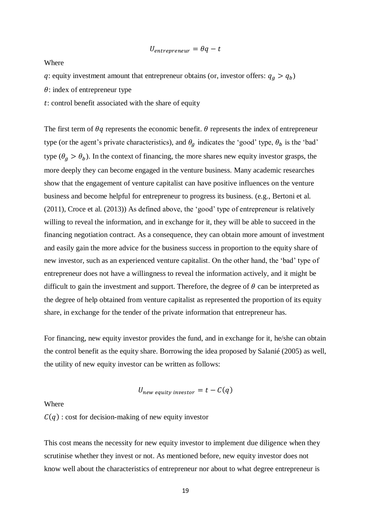$$
U_{entrepreneur} = \theta q - t
$$

Where

q: equity investment amount that entrepreneur obtains (or, investor offers:  $q_g > q_b$ )

 $\theta$ : index of entrepreneur type

: control benefit associated with the share of equity

The first term of  $\theta q$  represents the economic benefit.  $\theta$  represents the index of entrepreneur type (or the agent's private characteristics), and  $\theta_g$  indicates the 'good' type,  $\theta_b$  is the 'bad' type ( $\theta_g > \theta_b$ ). In the context of financing, the more shares new equity investor grasps, the more deeply they can become engaged in the venture business. Many academic researches show that the engagement of venture capitalist can have positive influences on the venture business and become helpful for entrepreneur to progress its business. (e.g., Bertoni et al. (2011), Croce et al. (2013)) As defined above, the 'good' type of entrepreneur is relatively willing to reveal the information, and in exchange for it, they will be able to succeed in the financing negotiation contract. As a consequence, they can obtain more amount of investment and easily gain the more advice for the business success in proportion to the equity share of new investor, such as an experienced venture capitalist. On the other hand, the 'bad' type of entrepreneur does not have a willingness to reveal the information actively, and it might be difficult to gain the investment and support. Therefore, the degree of  $\theta$  can be interpreted as the degree of help obtained from venture capitalist as represented the proportion of its equity share, in exchange for the tender of the private information that entrepreneur has.

For financing, new equity investor provides the fund, and in exchange for it, he/she can obtain the control benefit as the equity share. Borrowing the idea proposed by Salanié (2005) as well, the utility of new equity investor can be written as follows:

$$
U_{new\;equity\; investor} = t - C(q)
$$

Where

 $C(q)$ : cost for decision-making of new equity investor

This cost means the necessity for new equity investor to implement due diligence when they scrutinise whether they invest or not. As mentioned before, new equity investor does not know well about the characteristics of entrepreneur nor about to what degree entrepreneur is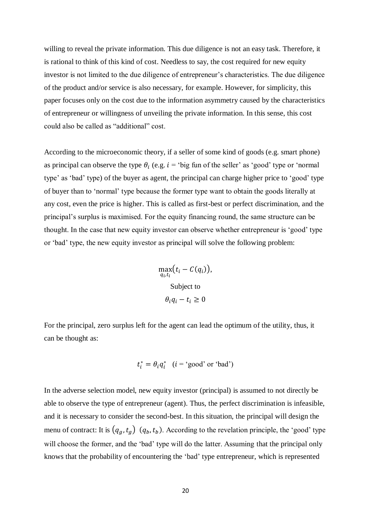willing to reveal the private information. This due diligence is not an easy task. Therefore, it is rational to think of this kind of cost. Needless to say, the cost required for new equity investor is not limited to the due diligence of entrepreneur's characteristics. The due diligence of the product and/or service is also necessary, for example. However, for simplicity, this paper focuses only on the cost due to the information asymmetry caused by the characteristics of entrepreneur or willingness of unveiling the private information. In this sense, this cost could also be called as "additional" cost.

According to the microeconomic theory, if a seller of some kind of goods (e.g. smart phone) as principal can observe the type  $\theta_i$  (e.g.  $i =$  'big fun of the seller' as 'good' type or 'normal type' as 'bad' type) of the buyer as agent, the principal can charge higher price to 'good' type of buyer than to 'normal' type because the former type want to obtain the goods literally at any cost, even the price is higher. This is called as first-best or perfect discrimination, and the principal's surplus is maximised. For the equity financing round, the same structure can be thought. In the case that new equity investor can observe whether entrepreneur is 'good' type or 'bad' type, the new equity investor as principal will solve the following problem:

$$
\max_{q_i, t_i} (t_i - C(q_i)),
$$
  
Subject to  

$$
\theta_i q_i - t_i \ge 0
$$

For the principal, zero surplus left for the agent can lead the optimum of the utility, thus, it can be thought as:

$$
t_i^* = \theta_i q_i^* \quad (i = 'good' \text{ or 'bad'})
$$

In the adverse selection model, new equity investor (principal) is assumed to not directly be able to observe the type of entrepreneur (agent). Thus, the perfect discrimination is infeasible, and it is necessary to consider the second-best. In this situation, the principal will design the menu of contract: It is  $(q_g, t_g)$   $(q_b, t_b)$ . According to the revelation principle, the 'good' type will choose the former, and the 'bad' type will do the latter. Assuming that the principal only knows that the probability of encountering the 'bad' type entrepreneur, which is represented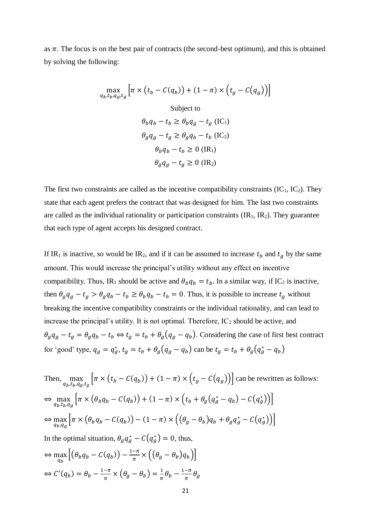as  $\pi$ . The focus is on the best pair of contracts (the second-best optimum), and this is obtained by solving the following:

$$
\max_{q_b, t_b, q_g, t_g} \left[ \pi \times (t_b - C(q_b)) + (1 - \pi) \times (t_g - C(q_g)) \right]
$$
  
Subject to  

$$
\theta_b q_b - t_b \ge \theta_b q_g - t_g \text{ (IC_1)}
$$

$$
\theta_g q_g - t_g \ge \theta_g q_b - t_b \text{ (IC_2)}
$$

$$
\theta_b q_b - t_b \ge 0 \text{ (IR_1)}
$$

$$
\theta_g q_g - t_g \ge 0 \text{ (IR_2)}
$$

The first two constraints are called as the incentive compatibility constraints  $(IC_1, IC_2)$ . They state that each agent prefers the contract that was designed for him. The last two constraints are called as the individual rationality or participation constraints  $\text{(IR}_1, \text{IR}_2)$ . They guarantee that each type of agent accepts his designed contract.

If IR<sub>1</sub> is inactive, so would be IR<sub>2</sub>, and if it can be assumed to increase  $t<sub>b</sub>$  and  $t<sub>g</sub>$  by the same amount. This would increase the principal's utility without any effect on incentive compatibility. Thus, IR<sub>1</sub> should be active and  $\theta_b q_b = t_b$ . In a similar way, if IC<sub>2</sub> is inactive, then  $\theta_g q_g - t_g > \theta_g q_b - t_b \ge \theta_b q_b - t_b = 0$ . Thus, it is possible to increase  $t_g$  without breaking the incentive compatibility constraints or the individual rationality, and can lead to increase the principal's utility. It is not optimal. Therefore,  $IC_2$  should be active, and  $\theta_g q_g - t_g = \theta_g q_b - t_b \Leftrightarrow t_g = t_b + \theta_g (q_g - q_b)$ . Considering the case of first best contract for 'good' type,  $q_g = q_g^*$ ,  $t_g = t_b + \theta_g (q_g - q_b)$  can be  $t_g = t_b + \theta_g (q_g^* - q_b)$ 

Then, 
$$
\max_{q_b, t_b, q_g, t_g} \left[ \pi \times (t_b - C(q_b)) + (1 - \pi) \times (t_g - C(q_g)) \right] \text{ can be rewritten as follows:}
$$

$$
\Leftrightarrow \max_{q_b, t_b, q_g} \left[ \pi \times (\theta_b q_b - C(q_b)) + (1 - \pi) \times (t_b + \theta_g (q_g^* - q_b) - C(q_g^*) \right] \right]
$$

$$
\Leftrightarrow \max_{q_b, q_g} \left[ \pi \times (\theta_b q_b - C(q_b)) - (1 - \pi) \times ((\theta_g - \theta_b) q_b + \theta_g q_g^* - C(q_g^*) \right]
$$
In the optimal situation,  $\theta_g q_g^* - C(q_g^*) = 0$ , thus,
$$
\Leftrightarrow \max_{q_b} \left[ (\theta_b q_b - C(q_b)) - \frac{1 - \pi}{\pi} \times ((\theta_g - \theta_b) q_b) \right]
$$

$$
\Leftrightarrow C'(q_b) = \theta_b - \frac{1 - \pi}{\pi} \times (\theta_g - \theta_b) = \frac{1}{\pi} \theta_b - \frac{1 - \pi}{\pi} \theta_g
$$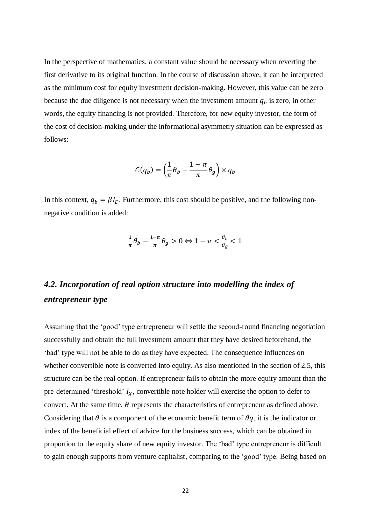In the perspective of mathematics, a constant value should be necessary when reverting the first derivative to its original function. In the course of discussion above, it can be interpreted as the minimum cost for equity investment decision-making. However, this value can be zero because the due diligence is not necessary when the investment amount  $q_b$  is zero, in other words, the equity financing is not provided. Therefore, for new equity investor, the form of the cost of decision-making under the informational asymmetry situation can be expressed as follows:

$$
C(q_b) = \left(\frac{1}{\pi}\theta_b - \frac{1-\pi}{\pi}\theta_g\right) \times q_b
$$

In this context,  $q_b = \beta I_E$ . Furthermore, this cost should be positive, and the following nonnegative condition is added:

$$
\frac{1}{\pi}\theta_b - \frac{1-\pi}{\pi}\theta_g > 0 \Leftrightarrow 1-\pi < \frac{\theta_b}{\theta_g} < 1
$$

## *4.2. Incorporation of real option structure into modelling the index of entrepreneur type*

Assuming that the 'good' type entrepreneur will settle the second-round financing negotiation successfully and obtain the full investment amount that they have desired beforehand, the 'bad' type will not be able to do as they have expected. The consequence influences on whether convertible note is converted into equity. As also mentioned in the section of 2.5, this structure can be the real option. If entrepreneur fails to obtain the more equity amount than the pre-determined 'threshold'  $I_X$ , convertible note holder will exercise the option to defer to convert. At the same time,  $\theta$  represents the characteristics of entrepreneur as defined above. Considering that  $\theta$  is a component of the economic benefit term of  $\theta q$ , it is the indicator or index of the beneficial effect of advice for the business success, which can be obtained in proportion to the equity share of new equity investor. The 'bad' type entrepreneur is difficult to gain enough supports from venture capitalist, comparing to the 'good' type. Being based on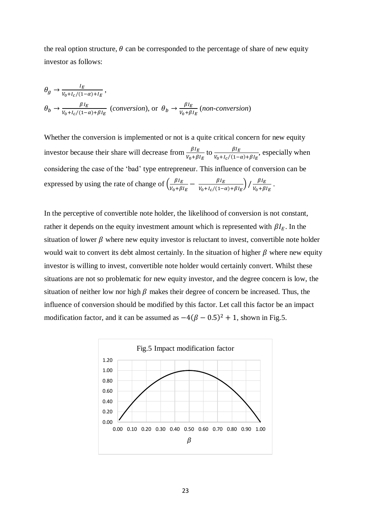the real option structure,  $\theta$  can be corresponded to the percentage of share of new equity investor as follows:

$$
\theta_g \to \frac{I_E}{v_0 + I_c/(1-\alpha) + I_E},
$$
\n
$$
\theta_b \to \frac{\beta I_E}{v_0 + I_c/(1-\alpha) + \beta I_E} \text{ (conversion), or } \theta_b \to \frac{\beta I_E}{v_0 + \beta I_E} \text{ (non-conversion)}
$$

Whether the conversion is implemented or not is a quite critical concern for new equity investor because their share will decrease from  $\frac{\beta I_E}{V_0 + \beta I_E}$  to  $\frac{\beta I_E}{V_0 + I_C/(1 - \beta I_E)}$  $\frac{P^T E}{V_0 + I_c/(1-\alpha) + \beta I_E}$ , especially when considering the case of the 'bad' type entrepreneur. This influence of conversion can be expressed by using the rate of change of  $\left(\frac{\beta I_E}{V_A}\right)$  $\frac{\beta I_E}{V_0 + \beta I_E} - \frac{\beta I_E}{V_0 + I_C/(1 - \epsilon)}$  $\frac{\beta I_E}{V_0 + I_c/(1-\alpha) + \beta I_E}$ ) /  $\frac{\beta I_E}{V_0 + \beta}$  $\frac{P^I E}{V_0 + \beta I_E}$ .

In the perceptive of convertible note holder, the likelihood of conversion is not constant, rather it depends on the equity investment amount which is represented with  $\beta I_E$ . In the situation of lower  $\beta$  where new equity investor is reluctant to invest, convertible note holder would wait to convert its debt almost certainly. In the situation of higher  $\beta$  where new equity investor is willing to invest, convertible note holder would certainly convert. Whilst these situations are not so problematic for new equity investor, and the degree concern is low, the situation of neither low nor high  $\beta$  makes their degree of concern be increased. Thus, the influence of conversion should be modified by this factor. Let call this factor be an impact modification factor, and it can be assumed as  $-4(\beta - 0.5)^2 + 1$ , shown in Fig.5.

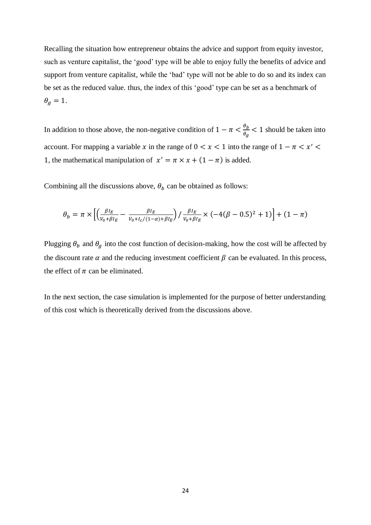Recalling the situation how entrepreneur obtains the advice and support from equity investor, such as venture capitalist, the 'good' type will be able to enjoy fully the benefits of advice and support from venture capitalist, while the 'bad' type will not be able to do so and its index can be set as the reduced value. thus, the index of this 'good' type can be set as a benchmark of  $\theta_g = 1.$ 

In addition to those above, the non-negative condition of  $1 - \pi < \frac{\theta_b}{\theta_b}$  $\frac{\partial b}{\partial g}$  < 1 should be taken into account. For mapping a variable x in the range of  $0 < x < 1$  into the range of  $1 - \pi < x' <$ 1, the mathematical manipulation of  $x' = \pi \times x + (1 - \pi)$  is added.

Combining all the discussions above,  $\theta_b$  can be obtained as follows:

$$
\theta_b = \pi \times \left[ \left( \frac{\beta I_E}{V_0 + \beta I_E} - \frac{\beta I_E}{V_0 + I_C/(1-\alpha) + \beta I_E} \right) / \frac{\beta I_E}{V_0 + \beta I_E} \times (-4(\beta - 0.5)^2 + 1) \right] + (1 - \pi)
$$

Plugging  $\theta_b$  and  $\theta_g$  into the cost function of decision-making, how the cost will be affected by the discount rate  $\alpha$  and the reducing investment coefficient  $\beta$  can be evaluated. In this process, the effect of  $\pi$  can be eliminated.

In the next section, the case simulation is implemented for the purpose of better understanding of this cost which is theoretically derived from the discussions above.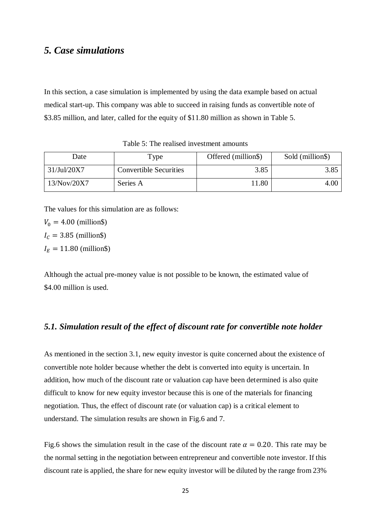## *5. Case simulations*

In this section, a case simulation is implemented by using the data example based on actual medical start-up. This company was able to succeed in raising funds as convertible note of \$3.85 million, and later, called for the equity of \$11.80 million as shown in Table 5.

Table 5: The realised investment amounts

| Date        | $\Gamma$ ype                  | Offered (million\$) | Sold (million\$) |
|-------------|-------------------------------|---------------------|------------------|
| 31/JuI/20X7 | <b>Convertible Securities</b> | 3.85                |                  |
| 13/Nov/20X7 | Series A                      | 1.80                | 4.00             |

The values for this simulation are as follows:

 $V_0 = 4.00$  (million\$)  $I_c = 3.85$  (million\$)  $I_E = 11.80$  (million\$)

Although the actual pre-money value is not possible to be known, the estimated value of \$4.00 million is used.

## *5.1. Simulation result of the effect of discount rate for convertible note holder*

As mentioned in the section 3.1, new equity investor is quite concerned about the existence of convertible note holder because whether the debt is converted into equity is uncertain. In addition, how much of the discount rate or valuation cap have been determined is also quite difficult to know for new equity investor because this is one of the materials for financing negotiation. Thus, the effect of discount rate (or valuation cap) is a critical element to understand. The simulation results are shown in Fig.6 and 7.

Fig.6 shows the simulation result in the case of the discount rate  $\alpha = 0.20$ . This rate may be the normal setting in the negotiation between entrepreneur and convertible note investor. If this discount rate is applied, the share for new equity investor will be diluted by the range from 23%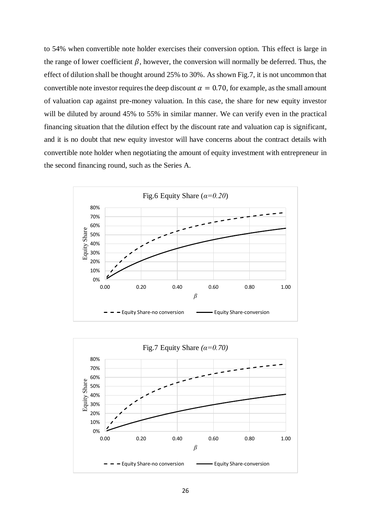to 54% when convertible note holder exercises their conversion option. This effect is large in the range of lower coefficient  $\beta$ , however, the conversion will normally be deferred. Thus, the effect of dilution shall be thought around 25% to 30%. As shown Fig.7, it is not uncommon that convertible note investor requires the deep discount  $\alpha = 0.70$ , for example, as the small amount of valuation cap against pre-money valuation. In this case, the share for new equity investor will be diluted by around 45% to 55% in similar manner. We can verify even in the practical financing situation that the dilution effect by the discount rate and valuation cap is significant, and it is no doubt that new equity investor will have concerns about the contract details with convertible note holder when negotiating the amount of equity investment with entrepreneur in the second financing round, such as the Series A.



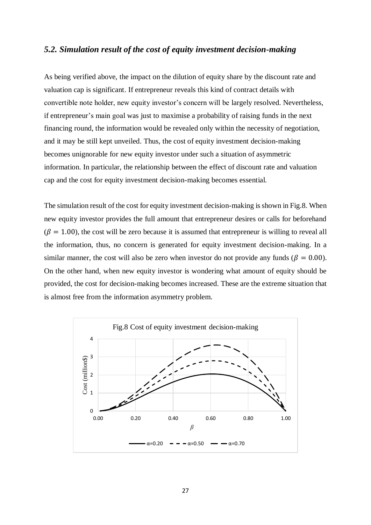#### *5.2. Simulation result of the cost of equity investment decision-making*

As being verified above, the impact on the dilution of equity share by the discount rate and valuation cap is significant. If entrepreneur reveals this kind of contract details with convertible note holder, new equity investor's concern will be largely resolved. Nevertheless, if entrepreneur's main goal was just to maximise a probability of raising funds in the next financing round, the information would be revealed only within the necessity of negotiation, and it may be still kept unveiled. Thus, the cost of equity investment decision-making becomes unignorable for new equity investor under such a situation of asymmetric information. In particular, the relationship between the effect of discount rate and valuation cap and the cost for equity investment decision-making becomes essential.

The simulation result of the cost for equity investment decision-making is shown in Fig.8. When new equity investor provides the full amount that entrepreneur desires or calls for beforehand  $(\beta = 1.00)$ , the cost will be zero because it is assumed that entrepreneur is willing to reveal all the information, thus, no concern is generated for equity investment decision-making. In a similar manner, the cost will also be zero when investor do not provide any funds ( $\beta = 0.00$ ). On the other hand, when new equity investor is wondering what amount of equity should be provided, the cost for decision-making becomes increased. These are the extreme situation that is almost free from the information asymmetry problem.

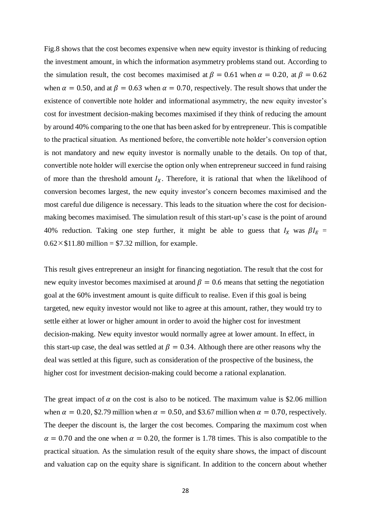Fig.8 shows that the cost becomes expensive when new equity investor is thinking of reducing the investment amount, in which the information asymmetry problems stand out. According to the simulation result, the cost becomes maximised at  $\beta = 0.61$  when  $\alpha = 0.20$ , at  $\beta = 0.62$ when  $\alpha = 0.50$ , and at  $\beta = 0.63$  when  $\alpha = 0.70$ , respectively. The result shows that under the existence of convertible note holder and informational asymmetry, the new equity investor's cost for investment decision-making becomes maximised if they think of reducing the amount by around 40% comparing to the one that has been asked for by entrepreneur. This is compatible to the practical situation. As mentioned before, the convertible note holder's conversion option is not mandatory and new equity investor is normally unable to the details. On top of that, convertible note holder will exercise the option only when entrepreneur succeed in fund raising of more than the threshold amount  $I_x$ . Therefore, it is rational that when the likelihood of conversion becomes largest, the new equity investor's concern becomes maximised and the most careful due diligence is necessary. This leads to the situation where the cost for decisionmaking becomes maximised. The simulation result of this start-up's case is the point of around 40% reduction. Taking one step further, it might be able to guess that  $I_X$  was  $\beta I_E$  =  $0.62 \times $11.80$  million = \$7.32 million, for example.

This result gives entrepreneur an insight for financing negotiation. The result that the cost for new equity investor becomes maximised at around  $\beta = 0.6$  means that setting the negotiation goal at the 60% investment amount is quite difficult to realise. Even if this goal is being targeted, new equity investor would not like to agree at this amount, rather, they would try to settle either at lower or higher amount in order to avoid the higher cost for investment decision-making. New equity investor would normally agree at lower amount. In effect, in this start-up case, the deal was settled at  $\beta = 0.34$ . Although there are other reasons why the deal was settled at this figure, such as consideration of the prospective of the business, the higher cost for investment decision-making could become a rational explanation.

The great impact of  $\alpha$  on the cost is also to be noticed. The maximum value is \$2.06 million when  $\alpha = 0.20$ , \$2.79 million when  $\alpha = 0.50$ , and \$3.67 million when  $\alpha = 0.70$ , respectively. The deeper the discount is, the larger the cost becomes. Comparing the maximum cost when  $\alpha = 0.70$  and the one when  $\alpha = 0.20$ , the former is 1.78 times. This is also compatible to the practical situation. As the simulation result of the equity share shows, the impact of discount and valuation cap on the equity share is significant. In addition to the concern about whether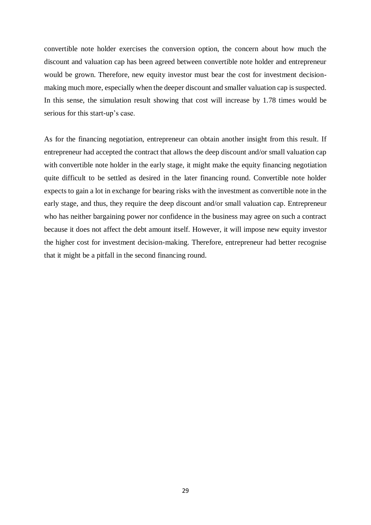convertible note holder exercises the conversion option, the concern about how much the discount and valuation cap has been agreed between convertible note holder and entrepreneur would be grown. Therefore, new equity investor must bear the cost for investment decisionmaking much more, especially when the deeper discount and smaller valuation cap is suspected. In this sense, the simulation result showing that cost will increase by 1.78 times would be serious for this start-up's case.

As for the financing negotiation, entrepreneur can obtain another insight from this result. If entrepreneur had accepted the contract that allows the deep discount and/or small valuation cap with convertible note holder in the early stage, it might make the equity financing negotiation quite difficult to be settled as desired in the later financing round. Convertible note holder expects to gain a lot in exchange for bearing risks with the investment as convertible note in the early stage, and thus, they require the deep discount and/or small valuation cap. Entrepreneur who has neither bargaining power nor confidence in the business may agree on such a contract because it does not affect the debt amount itself. However, it will impose new equity investor the higher cost for investment decision-making. Therefore, entrepreneur had better recognise that it might be a pitfall in the second financing round.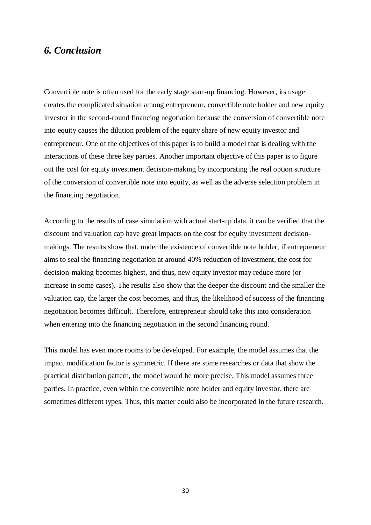### *6. Conclusion*

Convertible note is often used for the early stage start-up financing. However, its usage creates the complicated situation among entrepreneur, convertible note holder and new equity investor in the second-round financing negotiation because the conversion of convertible note into equity causes the dilution problem of the equity share of new equity investor and entrepreneur. One of the objectives of this paper is to build a model that is dealing with the interactions of these three key parties. Another important objective of this paper is to figure out the cost for equity investment decision-making by incorporating the real option structure of the conversion of convertible note into equity, as well as the adverse selection problem in the financing negotiation.

According to the results of case simulation with actual start-up data, it can be verified that the discount and valuation cap have great impacts on the cost for equity investment decisionmakings. The results show that, under the existence of convertible note holder, if entrepreneur aims to seal the financing negotiation at around 40% reduction of investment, the cost for decision-making becomes highest, and thus, new equity investor may reduce more (or increase in some cases). The results also show that the deeper the discount and the smaller the valuation cap, the larger the cost becomes, and thus, the likelihood of success of the financing negotiation becomes difficult. Therefore, entrepreneur should take this into consideration when entering into the financing negotiation in the second financing round.

This model has even more rooms to be developed. For example, the model assumes that the impact modification factor is symmetric. If there are some researches or data that show the practical distribution pattern, the model would be more precise. This model assumes three parties. In practice, even within the convertible note holder and equity investor, there are sometimes different types. Thus, this matter could also be incorporated in the future research.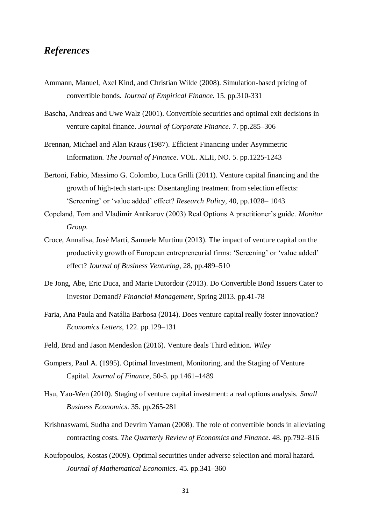## *References*

- Ammann, Manuel, Axel Kind, and Christian Wilde (2008). Simulation-based pricing of convertible bonds. *Journal of Empirical Finance.* 15. pp.310-331
- Bascha, Andreas and Uwe Walz (2001). Convertible securities and optimal exit decisions in venture capital finance. *Journal of Corporate Finance*. 7. pp.285–306

Brennan, Michael and Alan Kraus (1987). Efficient Financing under Asymmetric Information. *The Journal of Finance*. VOL. XLII, NO. 5. pp.1225-1243

- Bertoni, Fabio, Massimo G. Colombo, Luca Grilli (2011). Venture capital financing and the growth of high-tech start-ups: Disentangling treatment from selection effects: 'Screening' or 'value added' effect? *Research Policy*, 40, pp.1028– 1043
- Copeland, Tom and Vladimir Antikarov (2003) Real Options A practitioner's guide. *Monitor Group*.
- Croce, Annalisa, José Martí, Samuele Murtinu (2013). The impact of venture capital on the productivity growth of European entrepreneurial firms: 'Screening' or 'value added' effect? *Journal of Business Venturing*, 28, pp.489–510
- De Jong, Abe, Eric Duca, and Marie Dutordoir (2013). Do Convertible Bond Issuers Cater to Investor Demand? *Financial Management*, Spring 2013. pp.41-78
- Faria, Ana Paula and Natália Barbosa (2014). Does venture capital really foster innovation? *Economics Letters*, 122. pp.129–131
- Feld, Brad and Jason Mendeslon (2016). Venture deals Third edition. *Wiley*
- Gompers, Paul A. (1995). Optimal Investment, Monitoring, and the Staging of Venture Capital. *Journal of Finance*, 50-5. pp.1461–1489
- Hsu, Yao-Wen (2010). Staging of venture capital investment: a real options analysis. *Small Business Economics*. 35. pp.265-281
- Krishnaswami, Sudha and Devrim Yaman (2008). The role of convertible bonds in alleviating contracting costs. *The Quarterly Review of Economics and Finance*. 48. pp.792–816
- Koufopoulos, Kostas (2009). Optimal securities under adverse selection and moral hazard. *Journal of Mathematical Economics*. 45. pp.341–360